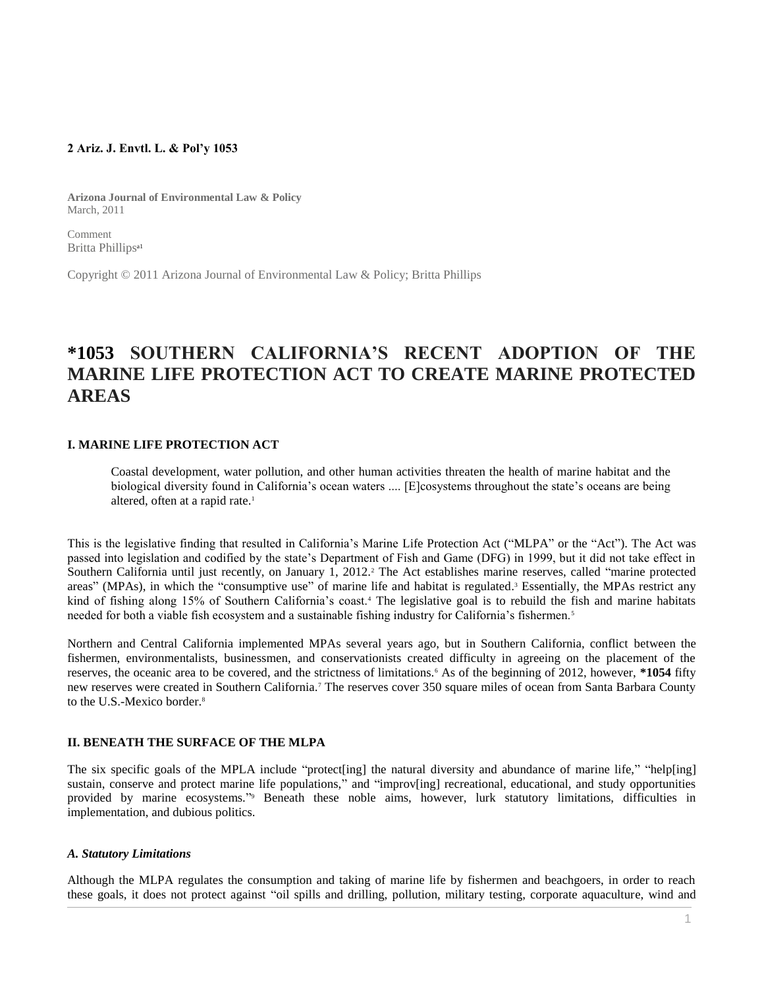### **2 Ariz. J. Envtl. L. & Pol'y 1053**

**Arizona Journal of Environmental Law & Policy** March, 2011

Comment Britta Phillips<sup>a1</sup>

Copyright © 2011 Arizona Journal of Environmental Law & Policy; Britta Phillips

# **\*1053 SOUTHERN CALIFORNIA'S RECENT ADOPTION OF THE MARINE LIFE PROTECTION ACT TO CREATE MARINE PROTECTED AREAS**

#### **I. MARINE LIFE PROTECTION ACT**

Coastal development, water pollution, and other human activities threaten the health of marine habitat and the biological diversity found in California's ocean waters .... [E]cosystems throughout the state's oceans are being altered, often at a rapid rate.<sup>1</sup>

This is the legislative finding that resulted in California's Marine Life Protection Act ("MLPA" or the "Act"). The Act was passed into legislation and codified by the state's Department of Fish and Game (DFG) in 1999, but it did not take effect in Southern California until just recently, on January 1, 2012.<sup>2</sup> The Act establishes marine reserves, called "marine protected areas" (MPAs), in which the "consumptive use" of marine life and habitat is regulated. <sup>3</sup> Essentially, the MPAs restrict any kind of fishing along 15% of Southern California's coast.<sup>4</sup> The legislative goal is to rebuild the fish and marine habitats needed for both a viable fish ecosystem and a sustainable fishing industry for California's fishermen.<sup>5</sup>

Northern and Central California implemented MPAs several years ago, but in Southern California, conflict between the fishermen, environmentalists, businessmen, and conservationists created difficulty in agreeing on the placement of the reserves, the oceanic area to be covered, and the strictness of limitations.<sup>6</sup> As of the beginning of 2012, however, **\*1054** fifty new reserves were created in Southern California.<sup>7</sup> The reserves cover 350 square miles of ocean from Santa Barbara County to the U.S.-Mexico border.<sup>8</sup>

#### **II. BENEATH THE SURFACE OF THE MLPA**

The six specific goals of the MPLA include "protect[ing] the natural diversity and abundance of marine life," "help[ing] sustain, conserve and protect marine life populations," and "improv[ing] recreational, educational, and study opportunities provided by marine ecosystems."<sup>9</sup> Beneath these noble aims, however, lurk statutory limitations, difficulties in implementation, and dubious politics.

#### *A. Statutory Limitations*

Although the MLPA regulates the consumption and taking of marine life by fishermen and beachgoers, in order to reach these goals, it does not protect against "oil spills and drilling, pollution, military testing, corporate aquaculture, wind and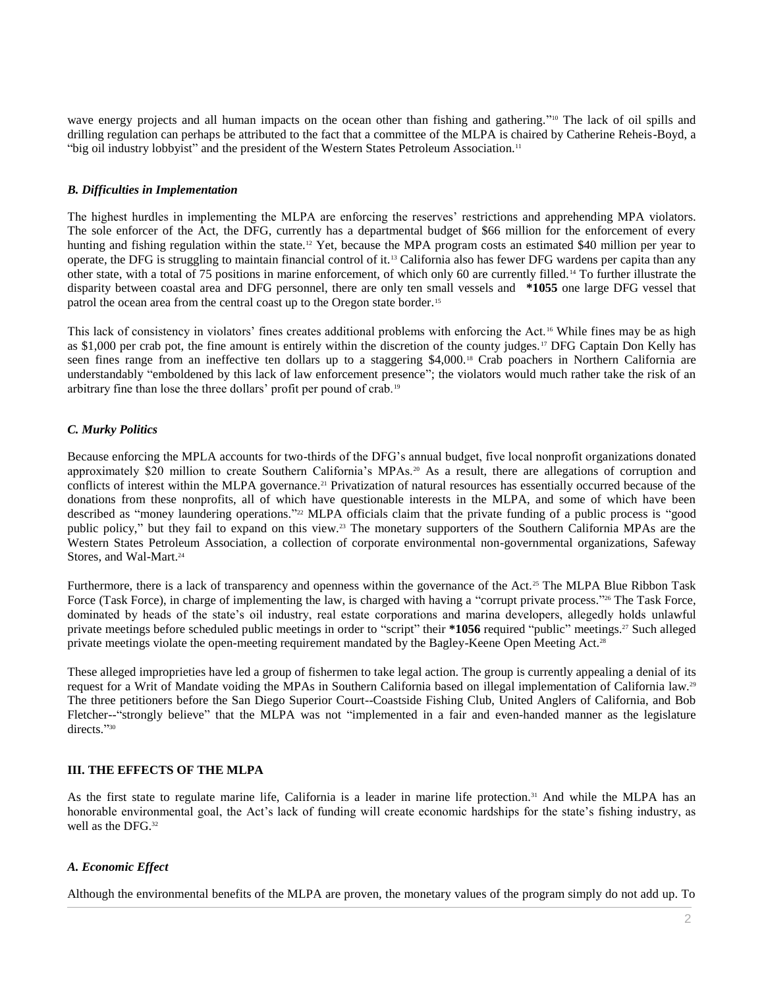wave energy projects and all human impacts on the ocean other than fishing and gathering."<sup>10</sup> The lack of oil spills and drilling regulation can perhaps be attributed to the fact that a committee of the MLPA is chaired by Catherine Reheis-Boyd, a "big oil industry lobbyist" and the president of the Western States Petroleum Association.<sup>11</sup>

#### *B. Difficulties in Implementation*

The highest hurdles in implementing the MLPA are enforcing the reserves' restrictions and apprehending MPA violators. The sole enforcer of the Act, the DFG, currently has a departmental budget of \$66 million for the enforcement of every hunting and fishing regulation within the state.<sup>12</sup> Yet, because the MPA program costs an estimated \$40 million per year to operate, the DFG is struggling to maintain financial control of it.<sup>13</sup> California also has fewer DFG wardens per capita than any other state, with a total of 75 positions in marine enforcement, of which only 60 are currently filled.<sup>14</sup> To further illustrate the disparity between coastal area and DFG personnel, there are only ten small vessels and **\*1055** one large DFG vessel that patrol the ocean area from the central coast up to the Oregon state border.<sup>15</sup>

This lack of consistency in violators' fines creates additional problems with enforcing the Act.<sup>16</sup> While fines may be as high as \$1,000 per crab pot, the fine amount is entirely within the discretion of the county judges.<sup>17</sup> DFG Captain Don Kelly has seen fines range from an ineffective ten dollars up to a staggering \$4,000.<sup>18</sup> Crab poachers in Northern California are understandably "emboldened by this lack of law enforcement presence"; the violators would much rather take the risk of an arbitrary fine than lose the three dollars' profit per pound of crab.<sup>19</sup>

## *C. Murky Politics*

Because enforcing the MPLA accounts for two-thirds of the DFG's annual budget, five local nonprofit organizations donated approximately \$20 million to create Southern California's MPAs.<sup>20</sup> As a result, there are allegations of corruption and conflicts of interest within the MLPA governance.<sup>21</sup> Privatization of natural resources has essentially occurred because of the donations from these nonprofits, all of which have questionable interests in the MLPA, and some of which have been described as "money laundering operations." <sup>22</sup> MLPA officials claim that the private funding of a public process is "good public policy," but they fail to expand on this view.<sup>23</sup> The monetary supporters of the Southern California MPAs are the Western States Petroleum Association, a collection of corporate environmental non-governmental organizations, Safeway Stores, and Wal-Mart.<sup>24</sup>

Furthermore, there is a lack of transparency and openness within the governance of the Act.<sup>25</sup> The MLPA Blue Ribbon Task Force (Task Force), in charge of implementing the law, is charged with having a "corrupt private process."<sup>26</sup> The Task Force, dominated by heads of the state's oil industry, real estate corporations and marina developers, allegedly holds unlawful private meetings before scheduled public meetings in order to "script" their **\*1056** required "public" meetings.<sup>27</sup> Such alleged private meetings violate the open-meeting requirement mandated by the Bagley-Keene Open Meeting Act.<sup>28</sup>

These alleged improprieties have led a group of fishermen to take legal action. The group is currently appealing a denial of its request for a Writ of Mandate voiding the MPAs in Southern California based on illegal implementation of California law.<sup>29</sup> The three petitioners before the San Diego Superior Court--Coastside Fishing Club, United Anglers of California, and Bob Fletcher--"strongly believe" that the MLPA was not "implemented in a fair and even-handed manner as the legislature directs."30

## **III. THE EFFECTS OF THE MLPA**

As the first state to regulate marine life, California is a leader in marine life protection.<sup>31</sup> And while the MLPA has an honorable environmental goal, the Act's lack of funding will create economic hardships for the state's fishing industry, as well as the DFG.<sup>32</sup>

## *A. Economic Effect*

Although the environmental benefits of the MLPA are proven, the monetary values of the program simply do not add up. To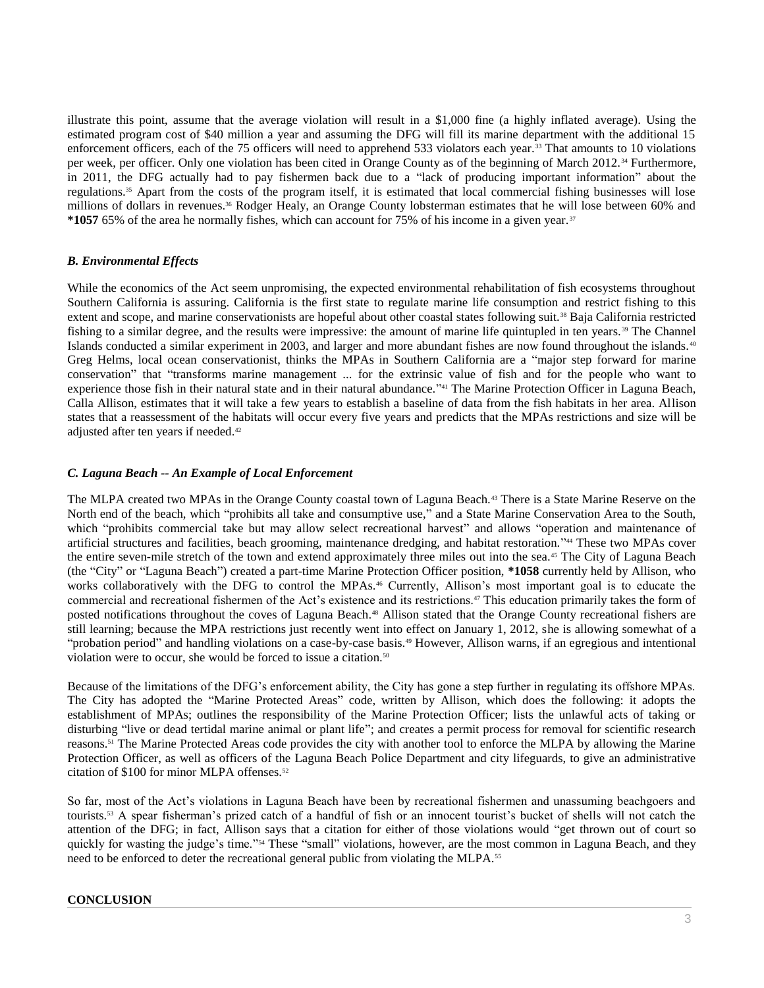illustrate this point, assume that the average violation will result in a \$1,000 fine (a highly inflated average). Using the estimated program cost of \$40 million a year and assuming the DFG will fill its marine department with the additional 15 enforcement officers, each of the 75 officers will need to apprehend 533 violators each year.<sup>33</sup> That amounts to 10 violations per week, per officer. Only one violation has been cited in Orange County as of the beginning of March 2012. <sup>34</sup> Furthermore, in 2011, the DFG actually had to pay fishermen back due to a "lack of producing important information" about the regulations.<sup>35</sup> Apart from the costs of the program itself, it is estimated that local commercial fishing businesses will lose millions of dollars in revenues.<sup>36</sup> Rodger Healy, an Orange County lobsterman estimates that he will lose between 60% and **\*1057** 65% of the area he normally fishes, which can account for 75% of his income in a given year.<sup>37</sup>

# *B. Environmental Effects*

While the economics of the Act seem unpromising, the expected environmental rehabilitation of fish ecosystems throughout Southern California is assuring. California is the first state to regulate marine life consumption and restrict fishing to this extent and scope, and marine conservationists are hopeful about other coastal states following suit.<sup>38</sup> Baja California restricted fishing to a similar degree, and the results were impressive: the amount of marine life quintupled in ten years.<sup>39</sup> The Channel Islands conducted a similar experiment in 2003, and larger and more abundant fishes are now found throughout the islands. <sup>40</sup> Greg Helms, local ocean conservationist, thinks the MPAs in Southern California are a "major step forward for marine conservation" that "transforms marine management ... for the extrinsic value of fish and for the people who want to experience those fish in their natural state and in their natural abundance."<sup>41</sup> The Marine Protection Officer in Laguna Beach, Calla Allison, estimates that it will take a few years to establish a baseline of data from the fish habitats in her area. Allison states that a reassessment of the habitats will occur every five years and predicts that the MPAs restrictions and size will be adjusted after ten years if needed.<sup>42</sup>

# *C. Laguna Beach -- An Example of Local Enforcement*

The MLPA created two MPAs in the Orange County coastal town of Laguna Beach.<sup>43</sup> There is a State Marine Reserve on the North end of the beach, which "prohibits all take and consumptive use," and a State Marine Conservation Area to the South, which "prohibits commercial take but may allow select recreational harvest" and allows "operation and maintenance of artificial structures and facilities, beach grooming, maintenance dredging, and habitat restoration." <sup>44</sup> These two MPAs cover the entire seven-mile stretch of the town and extend approximately three miles out into the sea.<sup>45</sup> The City of Laguna Beach (the "City" or "Laguna Beach") created a part-time Marine Protection Officer position, **\*1058** currently held by Allison, who works collaboratively with the DFG to control the MPAs.<sup>46</sup> Currently, Allison's most important goal is to educate the commercial and recreational fishermen of the Act's existence and its restrictions.<sup>47</sup> This education primarily takes the form of posted notifications throughout the coves of Laguna Beach.<sup>48</sup> Allison stated that the Orange County recreational fishers are still learning; because the MPA restrictions just recently went into effect on January 1, 2012, she is allowing somewhat of a "probation period" and handling violations on a case-by-case basis.<sup>49</sup> However, Allison warns, if an egregious and intentional violation were to occur, she would be forced to issue a citation.<sup>50</sup>

Because of the limitations of the DFG's enforcement ability, the City has gone a step further in regulating its offshore MPAs. The City has adopted the "Marine Protected Areas" code, written by Allison, which does the following: it adopts the establishment of MPAs; outlines the responsibility of the Marine Protection Officer; lists the unlawful acts of taking or disturbing "live or dead tertidal marine animal or plant life"; and creates a permit process for removal for scientific research reasons.<sup>51</sup> The Marine Protected Areas code provides the city with another tool to enforce the MLPA by allowing the Marine Protection Officer, as well as officers of the Laguna Beach Police Department and city lifeguards, to give an administrative citation of \$100 for minor MLPA offenses.<sup>52</sup>

So far, most of the Act's violations in Laguna Beach have been by recreational fishermen and unassuming beachgoers and tourists.<sup>53</sup> A spear fisherman's prized catch of a handful of fish or an innocent tourist's bucket of shells will not catch the attention of the DFG; in fact, Allison says that a citation for either of those violations would "get thrown out of court so quickly for wasting the judge's time."<sup>54</sup> These "small" violations, however, are the most common in Laguna Beach, and they need to be enforced to deter the recreational general public from violating the MLPA.<sup>55</sup>

## **CONCLUSION**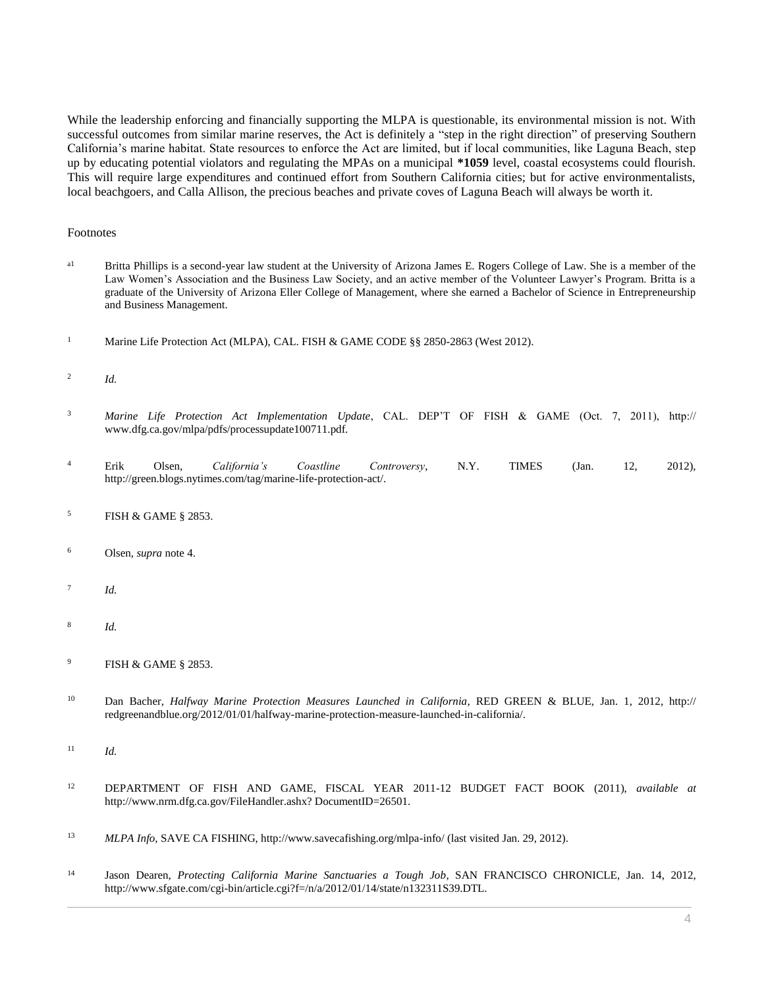While the leadership enforcing and financially supporting the MLPA is questionable, its environmental mission is not. With successful outcomes from similar marine reserves, the Act is definitely a "step in the right direction" of preserving Southern California's marine habitat. State resources to enforce the Act are limited, but if local communities, like Laguna Beach, step up by educating potential violators and regulating the MPAs on a municipal **\*1059** level, coastal ecosystems could flourish. This will require large expenditures and continued effort from Southern California cities; but for active environmentalists, local beachgoers, and Calla Allison, the precious beaches and private coves of Laguna Beach will always be worth it.

#### Footnotes

- a<sup>1</sup> Britta Phillips is a second-year law student at the University of Arizona James E. Rogers College of Law. She is a member of the Law Women's Association and the Business Law Society, and an active member of the Volunteer Lawyer's Program. Britta is a graduate of the University of Arizona Eller College of Management, where she earned a Bachelor of Science in Entrepreneurship and Business Management.
- <sup>1</sup> Marine Life Protection Act (MLPA), [CAL. FISH & GAME CODE §§ 2850](http://www.westlaw.com/Link/Document/FullText?findType=L&pubNum=1000209&cite=CAFGS2850&originatingDoc=I1ed640e48c6911e498db8b09b4f043e0&refType=LQ&originationContext=document&vr=3.0&rs=cblt1.0&transitionType=DocumentItem&contextData=(sc.Search))[-2863 \(West 2012\).](http://www.westlaw.com/Link/Document/FullText?findType=L&pubNum=1000209&cite=CAFGS2863&originatingDoc=I1ed640e48c6911e498db8b09b4f043e0&refType=LQ&originationContext=document&vr=3.0&rs=cblt1.0&transitionType=DocumentItem&contextData=(sc.Search))
- $\overline{2}$ *Id.*
- <sup>3</sup> *Marine Life Protection Act Implementation Update*, CAL. DEP'T OF FISH & GAME (Oct. 7, 2011), http:// www.dfg.ca.gov/mlpa/pdfs/processupdate100711.pdf.
- <sup>4</sup> Erik Olsen, *California's Coastline Controversy*, N.Y. TIMES (Jan. 12, 2012), http://green.blogs.nytimes.com/tag/marine-life-protection-act/.
- <sup>5</sup> FISH & GAME § 2853.
- <sup>6</sup> Olsen, *supra* note 4.
- 7 *Id.*
- 8 *Id.*
- <sup>9</sup> FISH & GAME § 2853.
- <sup>10</sup> Dan Bacher, *Halfway Marine Protection Measures Launched in California*, RED GREEN & BLUE, Jan. 1, 2012, http:// redgreenandblue.org/2012/01/01/halfway-marine-protection-measure-launched-in-california/.
- <sup>11</sup> *Id.*
- <sup>12</sup> DEPARTMENT OF FISH AND GAME, FISCAL YEAR 2011-12 BUDGET FACT BOOK (2011), *available at* http://www.nrm.dfg.ca.gov/FileHandler.ashx? DocumentID=26501.
- <sup>13</sup> *MLPA Info*, SAVE CA FISHING, http://www.savecafishing.org/mlpa-info/ (last visited Jan. 29, 2012).
- <sup>14</sup> Jason Dearen, *Protecting California Marine Sanctuaries a Tough Job*, SAN FRANCISCO CHRONICLE, Jan. 14, 2012, http://www.sfgate.com/cgi-bin/article.cgi?f=/n/a/2012/01/14/state/n132311S39.DTL.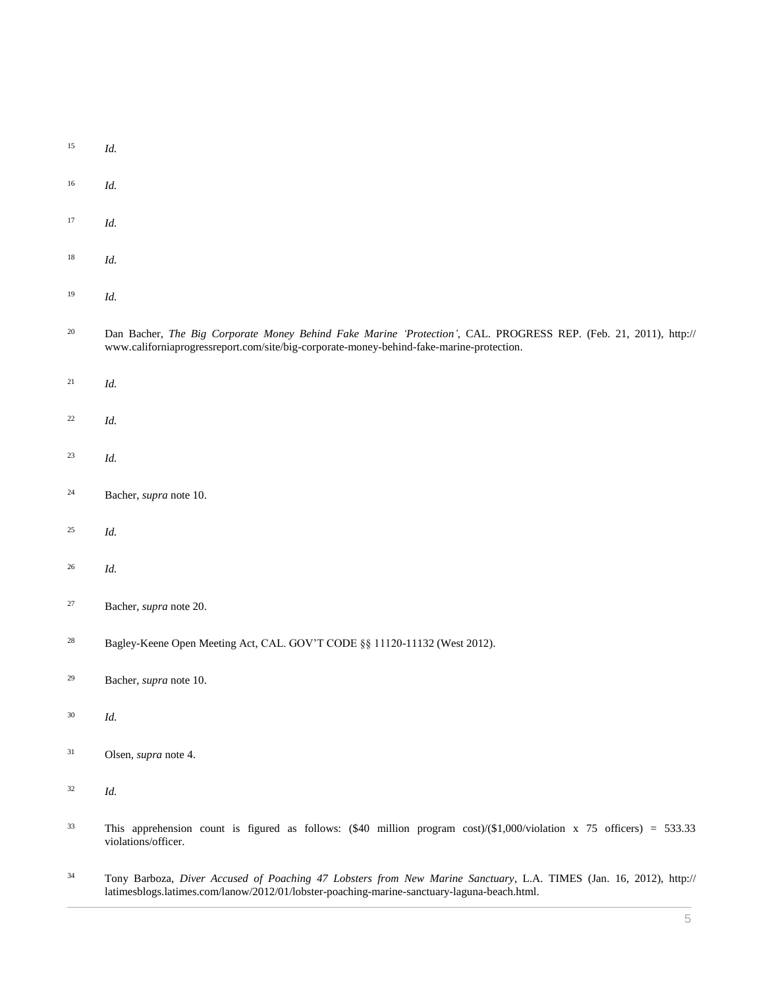| 15 | Id.                                                                                                                                                                                                               |
|----|-------------------------------------------------------------------------------------------------------------------------------------------------------------------------------------------------------------------|
| 16 | Id.                                                                                                                                                                                                               |
| 17 | Id.                                                                                                                                                                                                               |
| 18 | Id.                                                                                                                                                                                                               |
| 19 | Id.                                                                                                                                                                                                               |
| 20 | Dan Bacher, The Big Corporate Money Behind Fake Marine 'Protection', CAL. PROGRESS REP. (Feb. 21, 2011), http://<br>www.californiaprogressreport.com/site/big-corporate-money-behind-fake-marine-protection.      |
| 21 | Id.                                                                                                                                                                                                               |
| 22 | Id.                                                                                                                                                                                                               |
| 23 | Id.                                                                                                                                                                                                               |
| 24 | Bacher, supra note 10.                                                                                                                                                                                            |
| 25 | Id.                                                                                                                                                                                                               |
| 26 | Id.                                                                                                                                                                                                               |
| 27 | Bacher, supra note 20.                                                                                                                                                                                            |
| 28 | Bagley-Keene Open Meeting Act, CAL. GOV'T CODE §§ 11120-11132 (West 2012).                                                                                                                                        |
| 29 | Bacher, supra note 10.                                                                                                                                                                                            |
| 30 | Id.                                                                                                                                                                                                               |
| 31 | Olsen, supra note 4.                                                                                                                                                                                              |
| 32 | Id.                                                                                                                                                                                                               |
| 33 | This apprehension count is figured as follows: $(\$40$ million program cost)/ $(\$1,000$ /violation x 75 officers) = 533.33<br>violations/officer.                                                                |
| 34 | Tony Barboza, Diver Accused of Poaching 47 Lobsters from New Marine Sanctuary, L.A. TIMES (Jan. 16, 2012), http://<br>latimesblogs.latimes.com/lanow/2012/01/lobster-poaching-marine-sanctuary-laguna-beach.html. |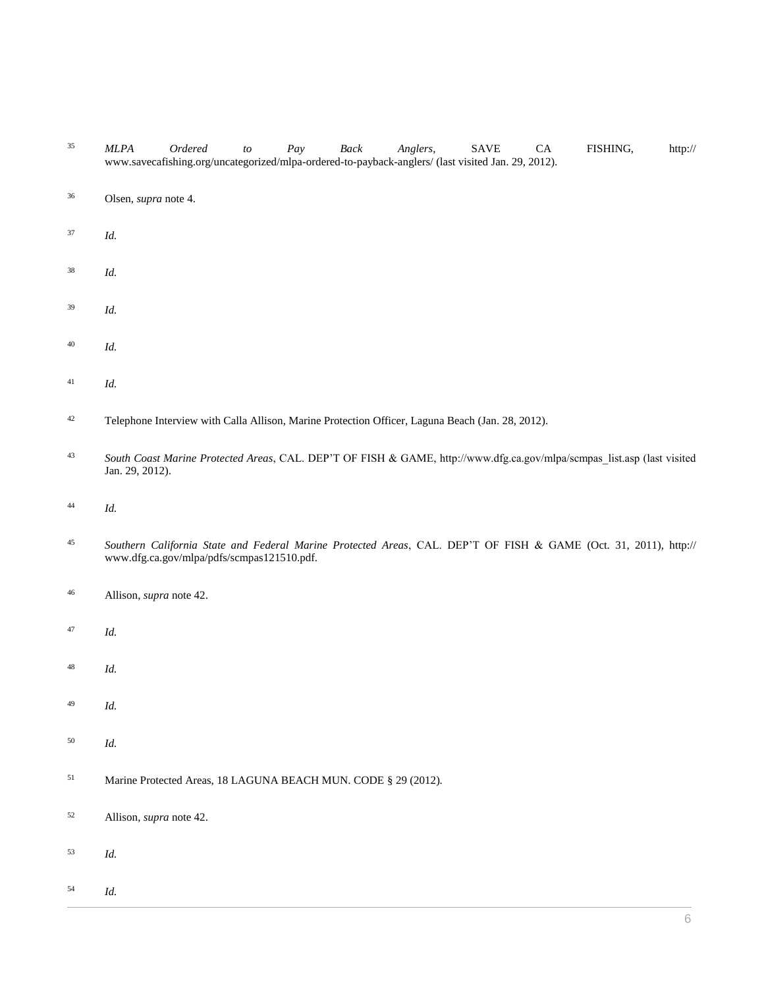- *MLPA Ordered to Pay Back Anglers*, SAVE CA FISHING, http:// www.savecafishing.org/uncategorized/mlpa-ordered-to-payback-anglers/ (last visited Jan. 29, 2012).
- Olsen, *supra* note 4.
- *Id.*
- *Id.*
- *Id.*
- *Id.*
- *Id.*
- <sup>42</sup> Telephone Interview with Calla Allison, Marine Protection Officer, Laguna Beach (Jan. 28, 2012).
- *South Coast Marine Protected Areas*, CAL. DEP'T OF FISH & GAME, http://www.dfg.ca.gov/mlpa/scmpas\_list.asp (last visited Jan. 29, 2012).
- *Id.*
- *Southern California State and Federal Marine Protected Areas*, CAL. DEP'T OF FISH & GAME (Oct. 31, 2011), http:// www.dfg.ca.gov/mlpa/pdfs/scmpas121510.pdf.
- Allison, *supra* note 42.
- *Id.*
- *Id.*
- *Id.*
- *Id.*
- Marine Protected Areas, 18 LAGUNA BEACH MUN. CODE § 29 (2012).
- Allison, *supra* note 42.
- *Id.*
- *Id.*